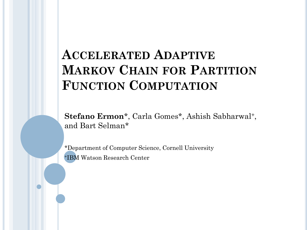### **ACCELERATED ADAPTIVE MARKOV CHAIN FOR PARTITION FUNCTION COMPUTATION**

Stefano Ermon<sup>\*</sup>, Carla Gomes<sup>\*</sup>, Ashish Sabharwal<sup>+</sup>, and Bart Selman\*

\*Department of Computer Science, Cornell University +IBM Watson Research Center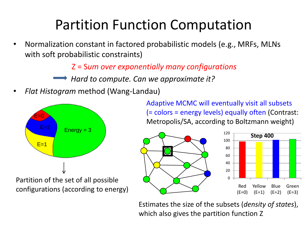## Partition Function Computation

• Normalization constant in factored probabilistic models (e.g., MRFs, MLNs with soft probabilistic constraints)

Z = S*um over exponentially many configurations* 

*Hard to compute. Can we approximate it?*

• *Flat Histogram* method (Wang-Landau)



Partition of the set of all possible configurations (according to energy) Adaptive MCMC will eventually visit all subsets (= colors = energy levels) equally often (Contrast: Metropolis/SA, according to Boltzmann weight)





Estimates the size of the subsets (*density of states*), which also gives the partition function Z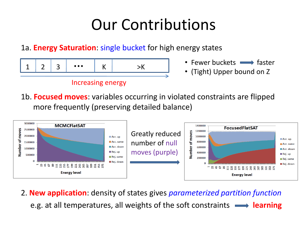# Our Contributions

1a. **Energy Saturation**: single bucket for high energy states



Increasing energy

- $\bullet$  Fewer buckets  $\bullet$  faster
- (Tight) Upper bound on Z
- 1b. **Focused moves**: variables occurring in violated constraints are flipped more frequently (preserving detailed balance)



2. **New application**: density of states gives *parameterized partition function* e.g. at all temperatures, all weights of the soft constraints  $\longrightarrow$  learning